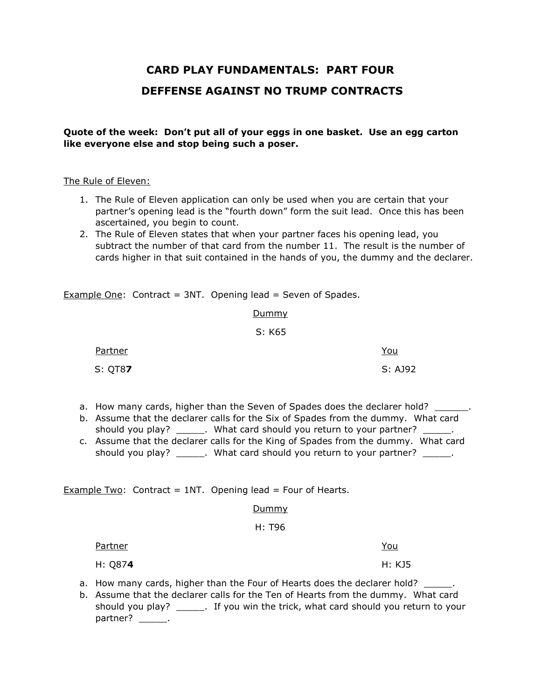# **CARD PLAY FUNDAMENTALS: PART FOUR DEFFENSE AGAINST NO TRUMP CONTRACTS**

**Quote of the week: Don't put all of your eggs in one basket. Use an egg carton like everyone else and stop being such a poser.**

# The Rule of Eleven:

- 1. The Rule of Eleven application can only be used when you are certain that your partner's opening lead is the "fourth down" form the suit lead. Once this has been ascertained, you begin to count.
- 2. The Rule of Eleven states that when your partner faces his opening lead, you subtract the number of that card from the number 11. The result is the number of cards higher in that suit contained in the hands of you, the dummy and the declarer.

**Example One:** Contract = 3NT. Opening lead = Seven of Spades.

# Dummy

# S: K65

| Partner         | <u>You</u> |
|-----------------|------------|
| S: QT8 <b>7</b> | S: AJ92    |

- a. How many cards, higher than the Seven of Spades does the declarer hold? \_\_\_\_\_\_.
- b. Assume that the declarer calls for the Six of Spades from the dummy. What card should you play? \_\_\_\_\_\_. What card should you return to your partner? \_\_\_\_\_.
- c. Assume that the declarer calls for the King of Spades from the dummy. What card should you play? \_\_\_\_\_\_. What card should you return to your partner? \_\_\_\_\_.

**Example Two:** Contract = 1NT. Opening lead = Four of Hearts.

# **Dummy**

#### H: T96

Partner You

H: Q87**4** H: KJ5

a. How many cards, higher than the Four of Hearts does the declarer hold?

b. Assume that the declarer calls for the Ten of Hearts from the dummy. What card should you play? \_\_\_\_\_. If you win the trick, what card should you return to your partner? \_\_\_\_\_\_.